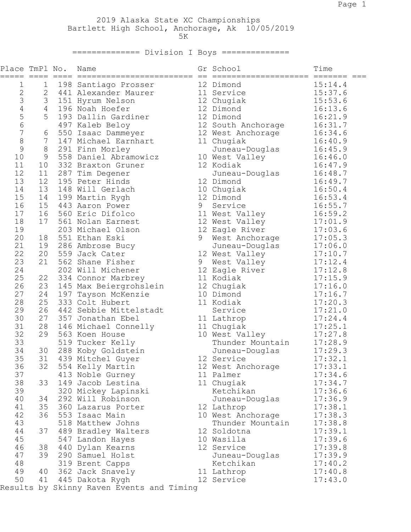2019 Alaska State XC Championships Bartlett High School, Anchorage, Ak 10/05/2019  $5K$ 

## =============== Division I Boys ==============

| Place TmPl No.           |                 | Name                                      |   | Gr School          | Time    |
|--------------------------|-----------------|-------------------------------------------|---|--------------------|---------|
| 1                        | 1               | 198 Santiago Prosser                      |   | 12 Dimond          | 15:14.4 |
| $\sqrt{2}$               | $\overline{2}$  | 441 Alexander Maurer                      |   | 11 Service         | 15:37.6 |
| 3                        | 3               | 151 Hyrum Nelson                          |   | 12 Chugiak         | 15:53.6 |
| $\sqrt{4}$               | $4\overline{ }$ | 196 Noah Hoefer                           |   | 12 Dimond          | 16:13.6 |
| 5                        | 5               | 193 Dallin Gardiner                       |   | 12 Dimond          | 16:21.9 |
| $\sqrt{6}$               |                 | 497 Kaleb Beloy                           |   | 12 South Anchorage | 16:31.7 |
| $\overline{\phantom{a}}$ | 6               | 550 Isaac Dammeyer                        |   | 12 West Anchorage  | 16:34.6 |
| $\,8\,$                  | 7               | 147 Michael Earnhart                      |   | 11 Chugiak         | 16:40.9 |
| $\mathcal{G}$            | 8               | 291 Finn Morley                           |   | Juneau-Douglas     | 16:45.9 |
| 10                       | 9               | 558 Daniel Abramowicz                     |   | 10 West Valley     | 16:46.0 |
| 11                       | 10              | 332 Braxton Gruner                        |   | 12 Kodiak          | 16:47.9 |
| 12                       | 11              | 287 Tim Degener                           |   | Juneau-Douglas     | 16:48.7 |
| 13                       | 12              | 195 Peter Hinds                           |   | 12 Dimond          | 16:49.7 |
| 14                       | 13              | 148 Will Gerlach                          |   | 10 Chugiak         | 16:50.4 |
| 15                       | 14              | 199 Martin Rygh                           |   | 12 Dimond          | 16:53.4 |
| 16                       | 15              | 443 Aaron Power                           | 9 | Service            | 16:55.7 |
| 17                       | 16              | 560 Eric Difolco                          |   | 11 West Valley     | 16:59.2 |
| 18                       | 17              | 561 Nolan Earnest                         |   | 12 West Valley     | 17:01.9 |
| 19                       |                 | 203 Michael Olson                         |   | 12 Eagle River     | 17:03.6 |
| 20                       | 18              | 551 Ethan Eski                            | 9 | West Anchorage     | 17:05.3 |
| 21                       | 19              | 286 Ambrose Bucy                          |   | Juneau-Douglas     | 17:06.0 |
| 22                       | 20              | 559 Jack Cater                            |   | 12 West Valley     | 17:10.7 |
| 23                       | 21              | 562 Shane Fisher                          | 9 | West Valley        | 17:12.4 |
| 24                       |                 | 202 Will Michener                         |   | 12 Eagle River     | 17:12.8 |
| 25                       | 22              | 334 Connor Marbrey                        |   | 11 Kodiak          | 17:15.9 |
| 26                       | 23              | 145 Max Beiergrohslein                    |   | 12 Chugiak         | 17:16.0 |
| 27                       | 24              | 197 Tayson McKenzie                       |   | 10 Dimond          | 17:16.7 |
| 28                       | 25              | 333 Colt Hubert                           |   | 11 Kodiak          | 17:20.3 |
| 29                       | 26              | 442 Sebbie Mittelstadt                    |   | Service            | 17:21.0 |
| 30                       | 27              | 357 Jonathan Ebel                         |   | 11 Lathrop         | 17:24.4 |
| 31                       | 28              | 146 Michael Connelly                      |   | 11 Chugiak         | 17:25.1 |
| 32                       | 29              | 563 Koen House                            |   | 10 West Valley     | 17:27.8 |
| 33                       |                 | 519 Tucker Kelly                          |   | Thunder Mountain   | 17:28.9 |
| 34                       | 30              | 288 Koby Goldstein                        |   | Juneau-Douglas     | 17:29.3 |
| 35                       | 31              | 439 Mitchel Guyer                         |   | 12 Service         | 17:32.1 |
| 36                       | 32              | 554 Kelly Martin                          |   | 12 West Anchorage  | 17:33.1 |
| 37                       |                 | 413 Noble Gurney                          |   | 11 Palmer          | 17:34.6 |
| 38                       | 33              | 149 Jacob Lestina                         |   | 11 Chugiak         | 17:34.7 |
| 39                       |                 | 320 Mickey Lapinski                       |   | Ketchikan          | 17:36.6 |
| 40                       | 34              | 292 Will Robinson                         |   | Juneau-Douglas     | 17:36.9 |
| 41                       | 35              | 360 Lazarus Porter                        |   | 12 Lathrop         | 17:38.1 |
| 42                       | 36              | 553 Isaac Main                            |   | 10 West Anchorage  | 17:38.3 |
| 43                       |                 | 518 Matthew Johns                         |   | Thunder Mountain   | 17:38.8 |
| 44                       | 37              | 489 Bradley Walters                       |   | 12 Soldotna        | 17:39.1 |
| 45                       |                 | 547 Landon Hayes                          |   | 10 Wasilla         | 17:39.6 |
| 46                       | 38              | 440 Dylan Kearns                          |   | 12 Service         | 17:39.8 |
| 47                       | 39              | 290 Samuel Holst                          |   | Juneau-Douglas     | 17:39.9 |
| 48                       |                 | 319 Brent Capps                           |   | Ketchikan          | 17:40.2 |
| 49                       | 40              | 362 Jack Snavely                          |   | 11 Lathrop         | 17:40.8 |
| 50                       | 41              | 445 Dakota Rygh                           |   | 12 Service         | 17:43.0 |
|                          |                 | Results by Skinny Raven Events and Timing |   |                    |         |